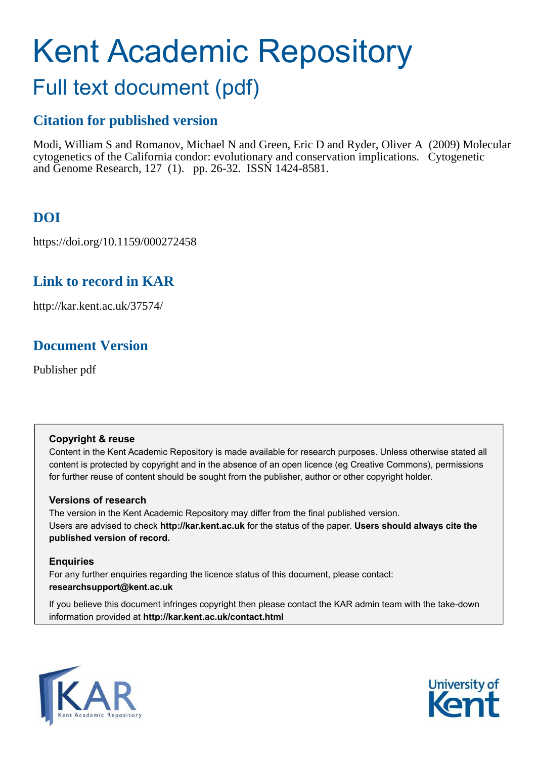# Kent Academic Repository

# Full text document (pdf)

## **Citation for published version**

Modi, William S and Romanov, Michael N and Green, Eric D and Ryder, Oliver A (2009) Molecular cytogenetics of the California condor: evolutionary and conservation implications. Cytogenetic and Genome Research, 127 (1). pp. 26-32. ISSN 1424-8581.

## **DOI**

https://doi.org/10.1159/000272458

## **Link to record in KAR**

http://kar.kent.ac.uk/37574/

## **Document Version**

Publisher pdf

#### **Copyright & reuse**

Content in the Kent Academic Repository is made available for research purposes. Unless otherwise stated all content is protected by copyright and in the absence of an open licence (eg Creative Commons), permissions for further reuse of content should be sought from the publisher, author or other copyright holder.

#### **Versions of research**

The version in the Kent Academic Repository may differ from the final published version. Users are advised to check **http://kar.kent.ac.uk** for the status of the paper. **Users should always cite the published version of record.**

#### **Enquiries**

For any further enquiries regarding the licence status of this document, please contact: **researchsupport@kent.ac.uk**

If you believe this document infringes copyright then please contact the KAR admin team with the take-down information provided at **http://kar.kent.ac.uk/contact.html**



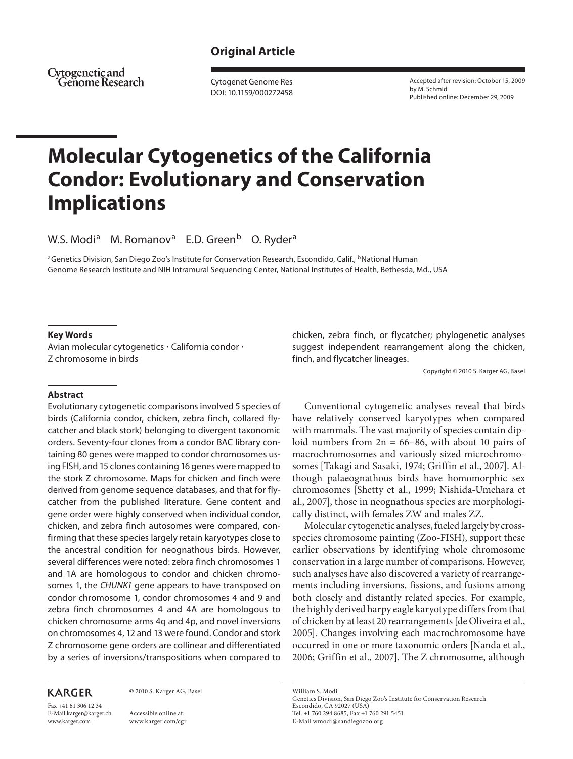#### **Original Article**

Cytogenetic and 'Geñome Research

 Cytogenet Genome Res DOI: 10.1159/000272458  Accepted after revision: October 15, 2009 by M. Schmid Published online: December 29, 2009

## **Molecular Cytogenetics of the California Condor: Evolutionary and Conservation Implications**

W.S. Modi<sup>a</sup> M. Romanov<sup>a</sup> E.D. Green<sup>b</sup> O. Ryder<sup>a</sup>

<sup>a</sup>Genetics Division, San Diego Zoo's Institute for Conservation Research, Escondido, Calif., <sup>b</sup>National Human Genome Research Institute and NIH Intramural Sequencing Center, National Institutes of Health, Bethesda, Md. , USA

#### **Key Words**

Avian molecular cytogenetics  $\cdot$  California condor  $\cdot$ Z chromosome in birds

 **Abstract** 

 Evolutionary cytogenetic comparisons involved 5 species of birds (California condor, chicken, zebra finch, collared flycatcher and black stork) belonging to divergent taxonomic orders. Seventy-four clones from a condor BAC library containing 80 genes were mapped to condor chromosomes using FISH, and 15 clones containing 16 genes were mapped to the stork Z chromosome. Maps for chicken and finch were derived from genome sequence databases, and that for flycatcher from the published literature. Gene content and gene order were highly conserved when individual condor, chicken, and zebra finch autosomes were compared, confirming that these species largely retain karyotypes close to the ancestral condition for neognathous birds. However, several differences were noted: zebra finch chromosomes 1 and 1A are homologous to condor and chicken chromosomes 1, the CHUNK1 gene appears to have transposed on condor chromosome 1, condor chromosomes 4 and 9 and zebra finch chromosomes 4 and 4A are homologous to chicken chromosome arms 4q and 4p, and novel inversions on chromosomes 4, 12 and 13 were found. Condor and stork Z chromosome gene orders are collinear and differentiated by a series of inversions/transpositions when compared to

#### **KARGER**

© 2010 S. Karger AG, Basel

Fax +41 61 306 12 34 E-Mail karger@karger.ch www.karger.com

 Accessible online at: www.karger.com/cgr chicken, zebra finch, or flycatcher; phylogenetic analyses suggest independent rearrangement along the chicken, finch, and flycatcher lineages.

Copyright © 2010 S. Karger AG, Basel

 Conventional cytogenetic analyses reveal that birds have relatively conserved karyotypes when compared with mammals. The vast majority of species contain diploid numbers from  $2n = 66-86$ , with about 10 pairs of macrochromosomes and variously sized microchromosomes [Takagi and Sasaki, 1974; Griffin et al., 2007]. Although palaeognathous birds have homomorphic sex chromosomes [Shetty et al., 1999; Nishida-Umehara et al., 2007], those in neognathous species are morphologically distinct, with females ZW and males ZZ.

 Molecular cytogenetic analyses, fueled largely by crossspecies chromosome painting (Zoo-FISH), support these earlier observations by identifying whole chromosome conservation in a large number of comparisons. However, such analyses have also discovered a variety of rearrangements including inversions, fissions, and fusions among both closely and distantly related species. For example, the highly derived harpy eagle karyotype differs from that of chicken by at least 20 rearrangements [de Oliveira et al., 2005]. Changes involving each macrochromosome have occurred in one or more taxonomic orders [Nanda et al., 2006; Griffin et al., 2007]. The Z chromosome, although

 William S. Modi Genetics Division, San Diego Zoo's Institute for Conservation Research Escondido, CA 92027 (USA) Tel. +1 760 294 8685, Fax +1 760 291 5451 E-Mail wmodi @ sandiegozoo.org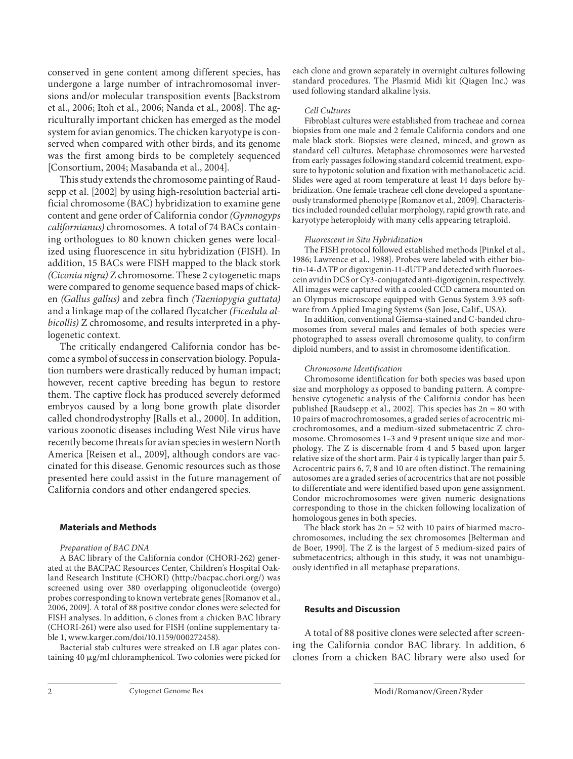conserved in gene content among different species, has undergone a large number of intrachromosomal inversions and/or molecular transposition events [Backstrom et al., 2006; Itoh et al., 2006; Nanda et al., 2008]. The agriculturally important chicken has emerged as the model system for avian genomics. The chicken karyotype is conserved when compared with other birds, and its genome was the first among birds to be completely sequenced [Consortium, 2004; Masabanda et al., 2004].

 This study extends the chromosome painting of Raudsepp et al. [2002] by using high-resolution bacterial artificial chromosome (BAC) hybridization to examine gene content and gene order of California condor (Gymnogyps californianus) chromosomes. A total of 74 BACs containing orthologues to 80 known chicken genes were localized using fluorescence in situ hybridization (FISH). In addition, 15 BACs were FISH mapped to the black stork (Ciconia nigra) Z chromosome. These 2 cytogenetic maps were compared to genome sequence based maps of chicken (Gallus gallus) and zebra finch (Taeniopygia guttata) and a linkage map of the collared flycatcher (Ficedula albicollis) Z chromosome, and results interpreted in a phylogenetic context.

 The critically endangered California condor has become a symbol of success in conservation biology. Population numbers were drastically reduced by human impact; however, recent captive breeding has begun to restore them. The captive flock has produced severely deformed embryos caused by a long bone growth plate disorder called chondrodystrophy [Ralls et al., 2000]. In addition, various zoonotic diseases including West Nile virus have recently become threats for avian species in western North America [Reisen et al., 2009], although condors are vaccinated for this disease. Genomic resources such as those presented here could assist in the future management of California condors and other endangered species.

#### **Materials and Methods**

#### Preparation of BAC DNA

 A BAC library of the California condor (CHORI-262) generated at the BACPAC Resources Center, Children's Hospital Oakland Research Institute (CHORI) (http://bacpac.chori.org/) was screened using over 380 overlapping oligonucleotide (overgo) probes corresponding to known vertebrate genes [Romanov et al., 2006, 2009]. A total of 88 positive condor clones were selected for FISH analyses. In addition, 6 clones from a chicken BAC library (CHORI-261) were also used for FISH (online supplementary table 1, www.karger.com/doi/10.1159/000272458).

 Bacterial stab cultures were streaked on LB agar plates containing 40  $\mu$ g/ml chloramphenicol. Two colonies were picked for each clone and grown separately in overnight cultures following standard procedures. The Plasmid Midi kit (Qiagen Inc.) was used following standard alkaline lysis.

#### Cell Cultures

 Fibroblast cultures were established from tracheae and cornea biopsies from one male and 2 female California condors and one male black stork. Biopsies were cleaned, minced, and grown as standard cell cultures. Metaphase chromosomes were harvested from early passages following standard colcemid treatment, exposure to hypotonic solution and fixation with methanol:acetic acid. Slides were aged at room temperature at least 14 days before hybridization. One female tracheae cell clone developed a spontaneously transformed phenotype [Romanov et al., 2009]. Characteristics included rounded cellular morphology, rapid growth rate, and karyotype heteroploidy with many cells appearing tetraploid.

#### Fluorescent in Situ Hybridization

 The FISH protocol followed established methods [Pinkel et al., 1986; Lawrence et al., 1988]. Probes were labeled with either biotin-14-dATP or digoxigenin-11-dUTP and detected with fluoroescein avidin DCS or Cy3-conjugated anti-digoxigenin, respectively. All images were captured with a cooled CCD camera mounted on an Olympus microscope equipped with Genus System 3.93 software from Applied Imaging Systems (San Jose, Calif., USA).

 In addition, conventional Giemsa-stained and C-banded chromosomes from several males and females of both species were photographed to assess overall chromosome quality, to confirm diploid numbers, and to assist in chromosome identification.

#### Chromosome Identification

 Chromosome identification for both species was based upon size and morphology as opposed to banding pattern. A comprehensive cytogenetic analysis of the California condor has been published [Raudsepp et al., 2002]. This species has 2n = 80 with 10 pairs of macrochromosomes, a graded series of acrocentric microchromosomes, and a medium-sized submetacentric Z chromosome. Chromosomes 1–3 and 9 present unique size and morphology. The Z is discernable from 4 and 5 based upon larger relative size of the short arm. Pair 4 is typically larger than pair 5. Acrocentric pairs 6, 7, 8 and 10 are often distinct. The remaining autosomes are a graded series of acrocentrics that are not possible to differentiate and were identified based upon gene assignment. Condor microchromosomes were given numeric designations corresponding to those in the chicken following localization of homologous genes in both species.

The black stork has  $2n = 52$  with 10 pairs of biarmed macrochromosomes, including the sex chromosomes [Belterman and de Boer, 1990]. The Z is the largest of 5 medium-sized pairs of submetacentrics; although in this study, it was not unambiguously identified in all metaphase preparations.

#### **Results and Discussion**

 A total of 88 positive clones were selected after screening the California condor BAC library. In addition, 6 clones from a chicken BAC library were also used for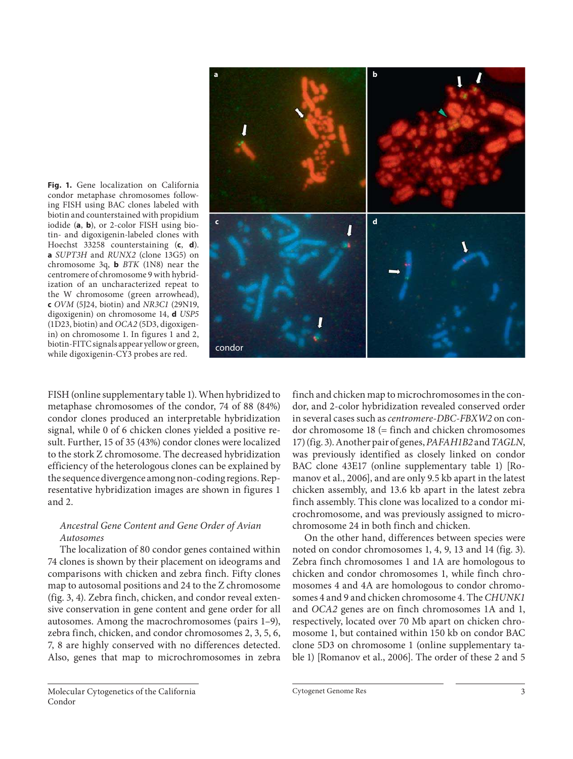

**Fig. 1.** Gene localization on California condor metaphase chromosomes following FISH using BAC clones labeled with biotin and counterstained with propidium iodide (a, b), or 2-color FISH using biotin- and digoxigenin-labeled clones with Hoechst 33258 counterstaining (c, d). **a** SUPT3H and RUNX2 (clone 13G5) on chromosome 3q, **b** BTK (1N8) near the centromere of chromosome 9 with hybridization of an uncharacterized repeat to the W chromosome (green arrowhead), **c** OVM (5J24, biotin) and NR3C1 (29N19, digoxigenin) on chromosome 14, **d** USP5 (1D23, biotin) and OCA2 (5D3, digoxigenin) on chromosome 1. In figures 1 and 2, biotin-FITC signals appear yellow or green, while digoxigenin-CY3 probes are red.

FISH (online supplementary table 1). When hybridized to metaphase chromosomes of the condor, 74 of 88 (84%) condor clones produced an interpretable hybridization signal, while 0 of 6 chicken clones yielded a positive result. Further, 15 of 35 (43%) condor clones were localized to the stork Z chromosome. The decreased hybridization efficiency of the heterologous clones can be explained by the sequence divergence among non-coding regions. Representative hybridization images are shown in figures 1 and 2.

#### Ancestral Gene Content and Gene Order of Avian Autosomes

 The localization of 80 condor genes contained within 74 clones is shown by their placement on ideograms and comparisons with chicken and zebra finch. Fifty clones map to autosomal positions and 24 to the Z chromosome (fig. 3, 4). Zebra finch, chicken, and condor reveal extensive conservation in gene content and gene order for all autosomes. Among the macrochromosomes (pairs 1–9), zebra finch, chicken, and condor chromosomes 2, 3, 5, 6, 7, 8 are highly conserved with no differences detected. Also, genes that map to microchromosomes in zebra finch and chicken map to microchromosomes in the condor, and 2-color hybridization revealed conserved order in several cases such as *centromere-DBC-FBXW2* on con $d$ or chromosome 18 (= finch and chicken chromosomes 17) (fig. 3). Another pair of genes, PAFAH1B2 and TAGLN, was previously identified as closely linked on condor BAC clone 43E17 (online supplementary table 1) [Romanov et al., 2006], and are only 9.5 kb apart in the latest chicken assembly, and 13.6 kb apart in the latest zebra finch assembly. This clone was localized to a condor microchromosome, and was previously assigned to microchromosome 24 in both finch and chicken.

 On the other hand, differences between species were noted on condor chromosomes 1, 4, 9, 13 and 14 (fig. 3). Zebra finch chromosomes 1 and 1A are homologous to chicken and condor chromosomes 1, while finch chromosomes 4 and 4A are homologous to condor chromosomes 4 and 9 and chicken chromosome 4. The CHUNK1 and OCA2 genes are on finch chromosomes 1A and 1, respectively, located over 70 Mb apart on chicken chromosome 1, but contained within 150 kb on condor BAC clone 5D3 on chromosome 1 (online supplementary table 1) [Romanov et al., 2006]. The order of these 2 and 5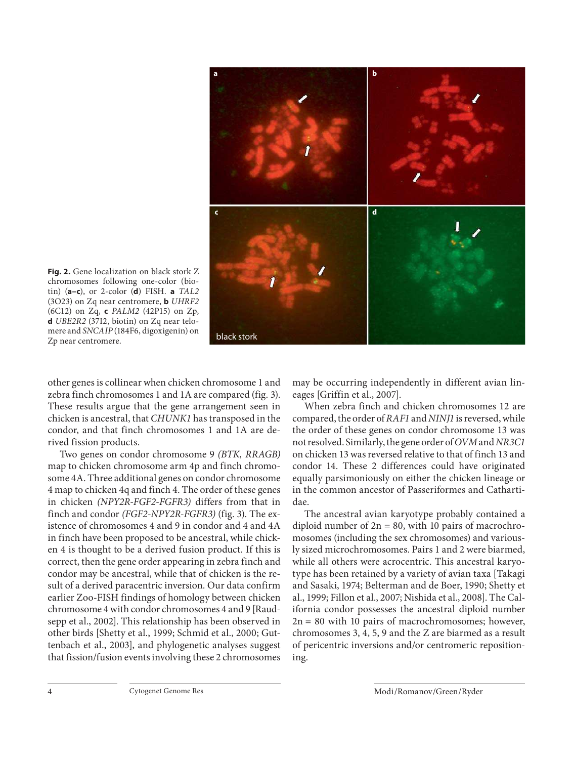

**Fig. 2.** Gene localization on black stork Z chromosomes following one-color (bio $t$ in) ( $a-c$ ), or 2-color ( $d$ ) FISH.  $a$  TAL2 (3O23) on Zq near centromere, **b** UHRF2 (6C12) on Zq, **c** PALM2 (42P15) on Zp, **d** UBE2R2 (37I2, biotin) on Zq near telomere and SNCAIP (184F6, digoxigenin) on Zp near centromere.

other genes is collinear when chicken chromosome 1 and zebra finch chromosomes 1 and 1A are compared (fig. 3). These results argue that the gene arrangement seen in chicken is ancestral, that CHUNK1 has transposed in the condor, and that finch chromosomes 1 and 1A are derived fission products.

 Two genes on condor chromosome 9 (BTK, RRAGB) map to chicken chromosome arm 4p and finch chromosome 4A. Three additional genes on condor chromosome 4 map to chicken 4q and finch 4. The order of these genes in chicken (NPY2R-FGF2-FGFR3) differs from that in finch and condor (FGF2-NPY2R-FGFR3) (fig. 3). The existence of chromosomes 4 and 9 in condor and 4 and 4A in finch have been proposed to be ancestral, while chicken 4 is thought to be a derived fusion product. If this is correct, then the gene order appearing in zebra finch and condor may be ancestral, while that of chicken is the result of a derived paracentric inversion. Our data confirm earlier Zoo-FISH findings of homology between chicken chromosome 4 with condor chromosomes 4 and 9 [Raudsepp et al., 2002]. This relationship has been observed in other birds [Shetty et al., 1999; Schmid et al., 2000; Guttenbach et al., 2003], and phylogenetic analyses suggest that fission/fusion events involving these 2 chromosomes may be occurring independently in different avian lineages [Griffin et al., 2007].

 When zebra finch and chicken chromosomes 12 are compared, the order of RAF1 and NINJ1 is reversed, while the order of these genes on condor chromosome 13 was not resolved. Similarly, the gene order of OVM and NR3C1 on chicken 13 was reversed relative to that of finch 13 and condor 14. These 2 differences could have originated equally parsimoniously on either the chicken lineage or in the common ancestor of Passeriformes and Cathartidae.

 The ancestral avian karyotype probably contained a diploid number of  $2n = 80$ , with 10 pairs of macrochromosomes (including the sex chromosomes) and variously sized microchromosomes. Pairs 1 and 2 were biarmed, while all others were acrocentric. This ancestral karyotype has been retained by a variety of avian taxa [Takagi and Sasaki, 1974; Belterman and de Boer, 1990; Shetty et al., 1999; Fillon et al., 2007; Nishida et al., 2008]. The California condor possesses the ancestral diploid number  $2n = 80$  with 10 pairs of macrochromosomes; however, chromosomes 3, 4, 5, 9 and the Z are biarmed as a result of pericentric inversions and/or centromeric repositioning.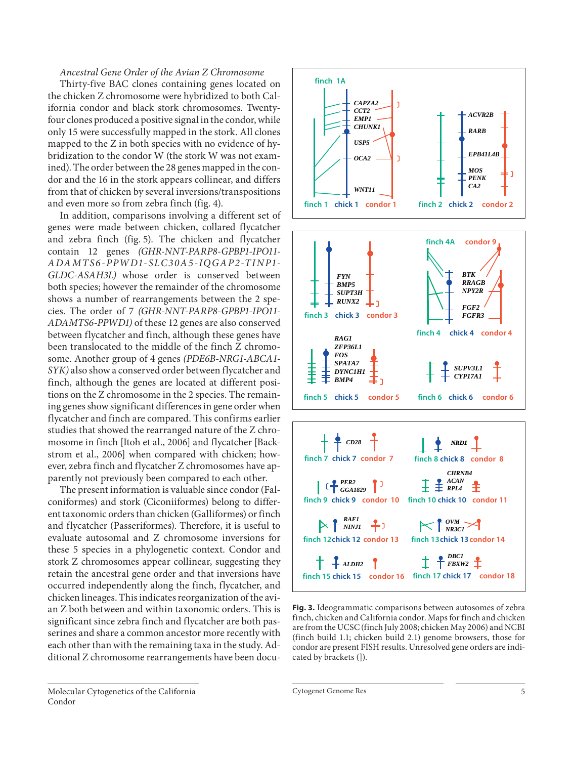#### Ancestral Gene Order of the Avian Z Chromosome

 Thirty-five BAC clones containing genes located on the chicken Z chromosome were hybridized to both California condor and black stork chromosomes. Twentyfour clones produced a positive signal in the condor, while only 15 were successfully mapped in the stork. All clones mapped to the Z in both species with no evidence of hybridization to the condor W (the stork W was not examined). The order between the 28 genes mapped in the condor and the 16 in the stork appears collinear, and differs from that of chicken by several inversions/transpositions and even more so from zebra finch (fig. 4).

 In addition, comparisons involving a different set of genes were made between chicken, collared flycatcher and zebra finch (fig. 5). The chicken and flycatcher contain 12 genes (GHR-NNT-PARP8-GPBP1-IPO11- ADAMTS6-PPWD1-SLC30A5-IQGAP2-TINP1- GLDC-ASAH3L) whose order is conserved between both species; however the remainder of the chromosome shows a number of rearrangements between the 2 species. The order of 7 (GHR-NNT-PARP8-GPBP1-IPO11- ADAMTS6-PPWD1) of these 12 genes are also conserved between flycatcher and finch, although these genes have been translocated to the middle of the finch Z chromosome. Another group of 4 genes (PDE6B-NRG1-ABCA1- SYK) also show a conserved order between flycatcher and finch, although the genes are located at different positions on the Z chromosome in the 2 species. The remaining genes show significant differences in gene order when flycatcher and finch are compared. This confirms earlier studies that showed the rearranged nature of the Z chromosome in finch [Itoh et al., 2006] and flycatcher [Backstrom et al., 2006] when compared with chicken; however, zebra finch and flycatcher Z chromosomes have apparently not previously been compared to each other.

 The present information is valuable since condor (Falconiformes) and stork (Ciconiiformes) belong to different taxonomic orders than chicken (Galliformes) or finch and flycatcher (Passeriformes). Therefore, it is useful to evaluate autosomal and Z chromosome inversions for these 5 species in a phylogenetic context. Condor and stork Z chromosomes appear collinear, suggesting they retain the ancestral gene order and that inversions have occurred independently along the finch, flycatcher, and chicken lineages. This indicates reorganization of the avian Z both between and within taxonomic orders. This is significant since zebra finch and flycatcher are both passerines and share a common ancestor more recently with each other than with the remaining taxa in the study. Additional Z chromosome rearrangements have been docu-





**Fig. 3.** Ideogrammatic comparisons between autosomes of zebra finch, chicken and California condor. Maps for finch and chicken are from the UCSC (finch July 2008; chicken May 2006) and NCBI (finch build 1.1; chicken build 2.1) genome browsers, those for condor are present FISH results. Unresolved gene orders are indicated by brackets (]).

Cytogenet Genome Res 5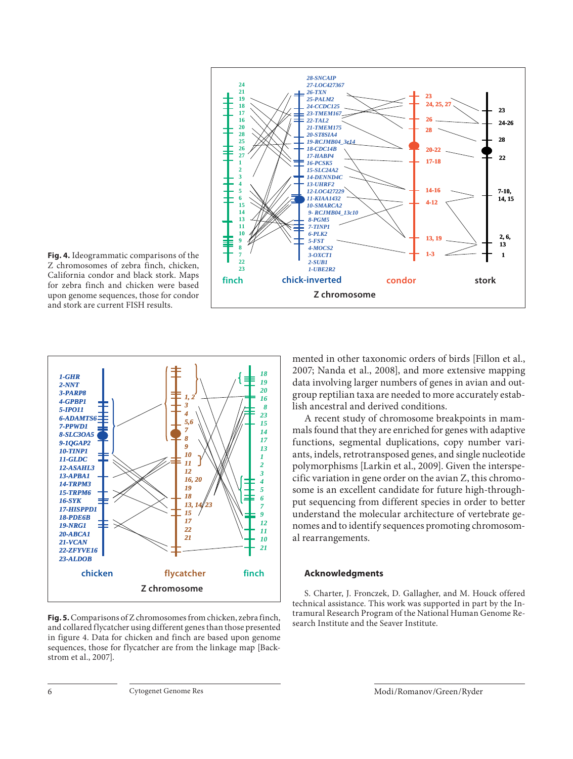

**Fig. 4.** Ideogrammatic comparisons of the Z chromosomes of zebra finch, chicken, California condor and black stork. Maps for zebra finch and chicken were based upon genome sequences, those for condor and stork are current FISH results.



**Fig. 5.** Comparisons of Z chromosomes from chicken, zebra finch, and collared flycatcher using different genes than those presented in figure 4. Data for chicken and finch are based upon genome sequences, those for flycatcher are from the linkage map [Backstrom et al., 2007].

mented in other taxonomic orders of birds [Fillon et al., 2007; Nanda et al., 2008], and more extensive mapping data involving larger numbers of genes in avian and outgroup reptilian taxa are needed to more accurately establish ancestral and derived conditions.

 A recent study of chromosome breakpoints in mammals found that they are enriched for genes with adaptive functions, segmental duplications, copy number variants, indels, retrotransposed genes, and single nucleotide polymorphisms [Larkin et al., 2009]. Given the interspecific variation in gene order on the avian Z, this chromosome is an excellent candidate for future high-throughput sequencing from different species in order to better understand the molecular architecture of vertebrate genomes and to identify sequences promoting chromosomal rearrangements.

#### **Acknowledgments**

 S. Charter, J. Fronczek, D. Gallagher, and M. Houck offered technical assistance. This work was supported in part by the Intramural Research Program of the National Human Genome Research Institute and the Seaver Institute.